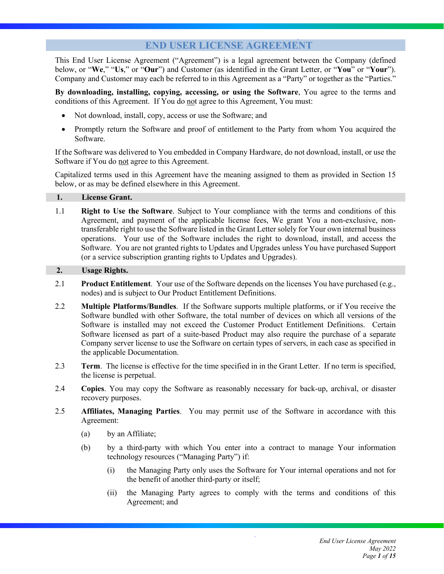# **END USER LICENSE AGREEMENT**

This End User License Agreement ("Agreement") is a legal agreement between the Company (defined below, or "**We**," "**Us**," or "**Our**") and Customer (as identified in the Grant Letter, or "**You**" or "**Your**"). Company and Customer may each be referred to in this Agreement as a "Party" or together as the "Parties."

**By downloading, installing, copying, accessing, or using the Software**, You agree to the terms and conditions of this Agreement. If You do not agree to this Agreement, You must:

- Not download, install, copy, access or use the Software; and
- Promptly return the Software and proof of entitlement to the Party from whom You acquired the Software.

If the Software was delivered to You embedded in Company Hardware, do not download, install, or use the Software if You do not agree to this Agreement.

Capitalized terms used in this Agreement have the meaning assigned to them as provided in Section 15 below, or as may be defined elsewhere in this Agreement.

#### **1. License Grant.**

1.1 **Right to Use the Software**. Subject to Your compliance with the terms and conditions of this Agreement, and payment of the applicable license fees, We grant You a non-exclusive, nontransferable right to use the Software listed in the Grant Letter solely for Your own internal business operations. Your use of the Software includes the right to download, install, and access the Software. You are not granted rights to Updates and Upgrades unless You have purchased Support (or a service subscription granting rights to Updates and Upgrades).

## **2. Usage Rights.**

- 2.1 **Product Entitlement**. Your use of the Software depends on the licenses You have purchased (e.g., nodes) and is subject to Our Product Entitlement Definitions.
- 2.2 **Multiple Platforms/Bundles**. If the Software supports multiple platforms, or if You receive the Software bundled with other Software, the total number of devices on which all versions of the Software is installed may not exceed the Customer Product Entitlement Definitions. Certain Software licensed as part of a suite-based Product may also require the purchase of a separate Company server license to use the Software on certain types of servers, in each case as specified in the applicable Documentation.
- 2.3 **Term**. The license is effective for the time specified in in the Grant Letter. If no term is specified, the license is perpetual.
- 2.4 **Copies**. You may copy the Software as reasonably necessary for back-up, archival, or disaster recovery purposes.
- 2.5 **Affiliates, Managing Parties**. You may permit use of the Software in accordance with this Agreement:
	- (a) by an Affiliate;
	- (b) by a third-party with which You enter into a contract to manage Your information technology resources ("Managing Party") if:
		- (i) the Managing Party only uses the Software for Your internal operations and not for the benefit of another third-party or itself;
		- (ii) the Managing Party agrees to comply with the terms and conditions of this Agreement; and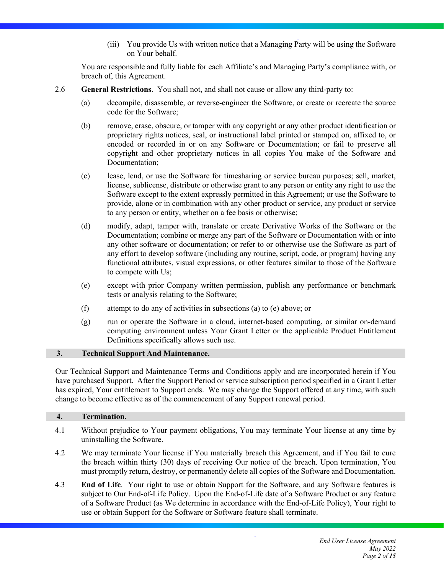(iii) You provide Us with written notice that a Managing Party will be using the Software on Your behalf.

You are responsible and fully liable for each Affiliate's and Managing Party's compliance with, or breach of, this Agreement.

- 2.6 **General Restrictions**. You shall not, and shall not cause or allow any third-party to:
	- (a) decompile, disassemble, or reverse-engineer the Software, or create or recreate the source code for the Software;
	- (b) remove, erase, obscure, or tamper with any copyright or any other product identification or proprietary rights notices, seal, or instructional label printed or stamped on, affixed to, or encoded or recorded in or on any Software or Documentation; or fail to preserve all copyright and other proprietary notices in all copies You make of the Software and Documentation;
	- (c) lease, lend, or use the Software for timesharing or service bureau purposes; sell, market, license, sublicense, distribute or otherwise grant to any person or entity any right to use the Software except to the extent expressly permitted in this Agreement; or use the Software to provide, alone or in combination with any other product or service, any product or service to any person or entity, whether on a fee basis or otherwise;
	- (d) modify, adapt, tamper with, translate or create Derivative Works of the Software or the Documentation; combine or merge any part of the Software or Documentation with or into any other software or documentation; or refer to or otherwise use the Software as part of any effort to develop software (including any routine, script, code, or program) having any functional attributes, visual expressions, or other features similar to those of the Software to compete with Us;
	- (e) except with prior Company written permission, publish any performance or benchmark tests or analysis relating to the Software;
	- (f) attempt to do any of activities in subsections (a) to (e) above; or
	- (g) run or operate the Software in a cloud, internet-based computing, or similar on-demand computing environment unless Your Grant Letter or the applicable Product Entitlement Definitions specifically allows such use.

## **3. Technical Support And Maintenance.**

Our Technical Support and Maintenance Terms and Conditions apply and are incorporated herein if You have purchased Support. After the Support Period or service subscription period specified in a Grant Letter has expired, Your entitlement to Support ends. We may change the Support offered at any time, with such change to become effective as of the commencement of any Support renewal period.

## **4. Termination.**

- 4.1 Without prejudice to Your payment obligations, You may terminate Your license at any time by uninstalling the Software.
- 4.2 We may terminate Your license if You materially breach this Agreement, and if You fail to cure the breach within thirty (30) days of receiving Our notice of the breach. Upon termination, You must promptly return, destroy, or permanently delete all copies of the Software and Documentation.
- 4.3 **End of Life**. Your right to use or obtain Support for the Software, and any Software features is subject to Our End-of-Life Policy. Upon the End-of-Life date of a Software Product or any feature of a Software Product (as We determine in accordance with the End-of-Life Policy), Your right to use or obtain Support for the Software or Software feature shall terminate.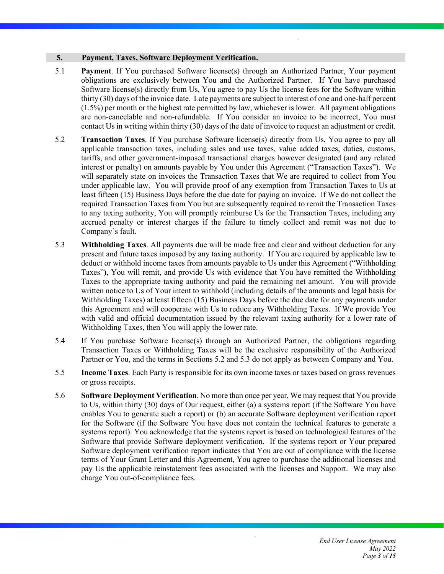#### **5. Payment, Taxes, Software Deployment Verification.**

- 5.1 **Payment**. If You purchased Software license(s) through an Authorized Partner, Your payment obligations are exclusively between You and the Authorized Partner. If You have purchased Software license(s) directly from Us, You agree to pay Us the license fees for the Software within thirty (30) days of the invoice date. Late payments are subject to interest of one and one-half percent (1.5%) per month or the highest rate permitted by law, whichever is lower. All payment obligations are non-cancelable and non-refundable. If You consider an invoice to be incorrect, You must contact Us in writing within thirty (30) days of the date of invoice to request an adjustment or credit.
- 5.2 **Transaction Taxes**. If You purchase Software license(s) directly from Us, You agree to pay all applicable transaction taxes, including sales and use taxes, value added taxes, duties, customs, tariffs, and other government-imposed transactional charges however designated (and any related interest or penalty) on amounts payable by You under this Agreement ("Transaction Taxes"). We will separately state on invoices the Transaction Taxes that We are required to collect from You under applicable law. You will provide proof of any exemption from Transaction Taxes to Us at least fifteen (15) Business Days before the due date for paying an invoice. If We do not collect the required Transaction Taxes from You but are subsequently required to remit the Transaction Taxes to any taxing authority, You will promptly reimburse Us for the Transaction Taxes, including any accrued penalty or interest charges if the failure to timely collect and remit was not due to Company's fault.
- 5.3 **Withholding Taxes**. All payments due will be made free and clear and without deduction for any present and future taxes imposed by any taxing authority. If You are required by applicable law to deduct or withhold income taxes from amounts payable to Us under this Agreement ("Withholding Taxes"**)**, You will remit, and provide Us with evidence that You have remitted the Withholding Taxes to the appropriate taxing authority and paid the remaining net amount. You will provide written notice to Us of Your intent to withhold (including details of the amounts and legal basis for Withholding Taxes) at least fifteen (15) Business Days before the due date for any payments under this Agreement and will cooperate with Us to reduce any Withholding Taxes. If We provide You with valid and official documentation issued by the relevant taxing authority for a lower rate of Withholding Taxes, then You will apply the lower rate.
- 5.4 If You purchase Software license(s) through an Authorized Partner, the obligations regarding Transaction Taxes or Withholding Taxes will be the exclusive responsibility of the Authorized Partner or You, and the terms in Sections 5.2 and 5.3 do not apply as between Company and You.
- 5.5 **Income Taxes**. Each Party is responsible for its own income taxes or taxes based on gross revenues or gross receipts.
- 5.6 **Software Deployment Verification**. No more than once per year, We may request that You provide to Us, within thirty (30) days of Our request, either (a) a systems report (if the Software You have enables You to generate such a report) or (b) an accurate Software deployment verification report for the Software (if the Software You have does not contain the technical features to generate a systems report). You acknowledge that the systems report is based on technological features of the Software that provide Software deployment verification. If the systems report or Your prepared Software deployment verification report indicates that You are out of compliance with the license terms of Your Grant Letter and this Agreement, You agree to purchase the additional licenses and pay Us the applicable reinstatement fees associated with the licenses and Support. We may also charge You out-of-compliance fees.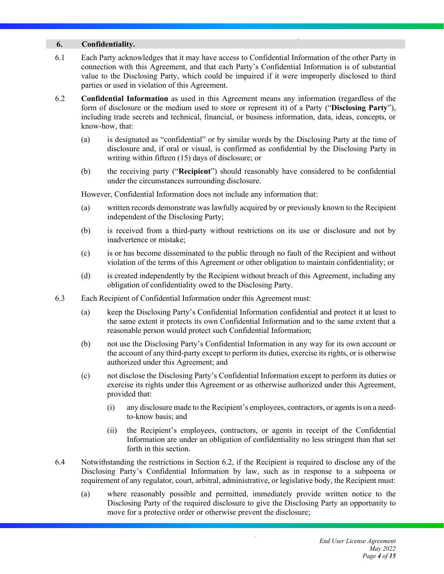#### **6. Confidentiality.**

- 6.1 Each Party acknowledges that it may have access to Confidential Information of the other Party in connection with this Agreement, and that each Party's Confidential Information is of substantial value to the Disclosing Party, which could be impaired if it were improperly disclosed to third parties or used in violation of this Agreement.
- 6.2 **Confidential Information** as used in this Agreement means any information (regardless of the form of disclosure or the medium used to store or represent it) of a Party ("**Disclosing Party**"), including trade secrets and technical, financial, or business information, data, ideas, concepts, or know-how, that:
	- (a) is designated as "confidential" or by similar words by the Disclosing Party at the time of disclosure and, if oral or visual, is confirmed as confidential by the Disclosing Party in writing within fifteen (15) days of disclosure; or
	- (b) the receiving party ("**Recipient**") should reasonably have considered to be confidential under the circumstances surrounding disclosure.

However, Confidential Information does not include any information that:

- (a) written records demonstrate was lawfully acquired by or previously known to the Recipient independent of the Disclosing Party;
- (b) is received from a third-party without restrictions on its use or disclosure and not by inadvertence or mistake;
- (c) is or has become disseminated to the public through no fault of the Recipient and without violation of the terms of this Agreement or other obligation to maintain confidentiality; or
- (d) is created independently by the Recipient without breach of this Agreement, including any obligation of confidentiality owed to the Disclosing Party.
- 6.3 Each Recipient of Confidential Information under this Agreement must:
	- (a) keep the Disclosing Party's Confidential Information confidential and protect it at least to the same extent it protects its own Confidential Information and to the same extent that a reasonable person would protect such Confidential Information;
	- (b) not use the Disclosing Party's Confidential Information in any way for its own account or the account of any third-party except to perform its duties, exercise its rights, or is otherwise authorized under this Agreement; and
	- (c) not disclose the Disclosing Party's Confidential Information except to perform its duties or exercise its rights under this Agreement or as otherwise authorized under this Agreement, provided that:
		- (i) any disclosure made to the Recipient's employees, contractors, or agents is on a needto-know basis; and
		- (ii) the Recipient's employees, contractors, or agents in receipt of the Confidential Information are under an obligation of confidentiality no less stringent than that set forth in this section.
- 6.4 Notwithstanding the restrictions in Section 6.2, if the Recipient is required to disclose any of the Disclosing Party's Confidential Information by law, such as in response to a subpoena or requirement of any regulator, court, arbitral, administrative, or legislative body, the Recipient must:
	- (a) where reasonably possible and permitted, immediately provide written notice to the Disclosing Party of the required disclosure to give the Disclosing Party an opportunity to move for a protective order or otherwise prevent the disclosure;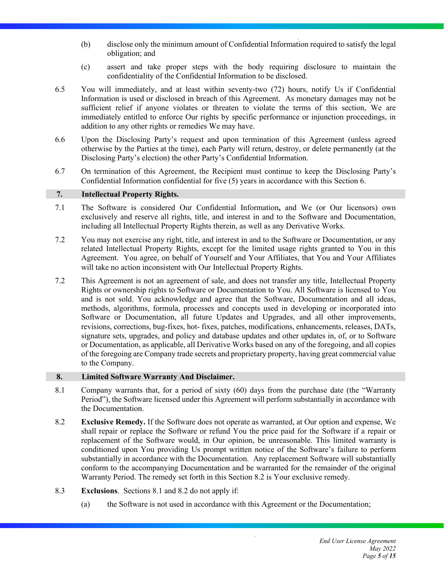- (b) disclose only the minimum amount of Confidential Information required to satisfy the legal obligation; and
- (c) assert and take proper steps with the body requiring disclosure to maintain the confidentiality of the Confidential Information to be disclosed.
- 6.5 You will immediately, and at least within seventy-two (72) hours, notify Us if Confidential Information is used or disclosed in breach of this Agreement. As monetary damages may not be sufficient relief if anyone violates or threaten to violate the terms of this section, We are immediately entitled to enforce Our rights by specific performance or injunction proceedings, in addition to any other rights or remedies We may have.
- 6.6 Upon the Disclosing Party's request and upon termination of this Agreement (unless agreed otherwise by the Parties at the time), each Party will return, destroy, or delete permanently (at the Disclosing Party's election) the other Party's Confidential Information.
- 6.7 On termination of this Agreement, the Recipient must continue to keep the Disclosing Party's Confidential Information confidential for five (5) years in accordance with this Section 6.

## **7. Intellectual Property Rights.**

- 7.1 The Software is considered Our Confidential Information**,** and We (or Our licensors) own exclusively and reserve all rights, title, and interest in and to the Software and Documentation, including all Intellectual Property Rights therein, as well as any Derivative Works.
- 7.2 You may not exercise any right, title, and interest in and to the Software or Documentation, or any related Intellectual Property Rights, except for the limited usage rights granted to You in this Agreement. You agree, on behalf of Yourself and Your Affiliates, that You and Your Affiliates will take no action inconsistent with Our Intellectual Property Rights.
- 7.2 This Agreement is not an agreement of sale, and does not transfer any title, Intellectual Property Rights or ownership rights to Software or Documentation to You. All Software is licensed to You and is not sold. You acknowledge and agree that the Software, Documentation and all ideas, methods, algorithms, formula, processes and concepts used in developing or incorporated into Software or Documentation, all future Updates and Upgrades, and all other improvements, revisions, corrections, bug-fixes, hot- fixes, patches, modifications, enhancements, releases, DATs, signature sets, upgrades, and policy and database updates and other updates in, of, or to Software or Documentation, as applicable, all Derivative Works based on any of the foregoing, and all copies of the foregoing are Company trade secrets and proprietary property, having great commercial value to the Company.

## **8. Limited Software Warranty And Disclaimer.**

- 8.1 Company warrants that, for a period of sixty (60) days from the purchase date (the "Warranty Period"), the Software licensed under this Agreement will perform substantially in accordance with the Documentation.
- 8.2 **Exclusive Remedy.** If the Software does not operate as warranted, at Our option and expense, We shall repair or replace the Software or refund You the price paid for the Software if a repair or replacement of the Software would, in Our opinion, be unreasonable. This limited warranty is conditioned upon You providing Us prompt written notice of the Software's failure to perform substantially in accordance with the Documentation. Any replacement Software will substantially conform to the accompanying Documentation and be warranted for the remainder of the original Warranty Period. The remedy set forth in this Section 8.2 is Your exclusive remedy.
- 8.3 **Exclusions**. Sections 8.1 and 8.2 do not apply if:
	- (a) the Software is not used in accordance with this Agreement or the Documentation;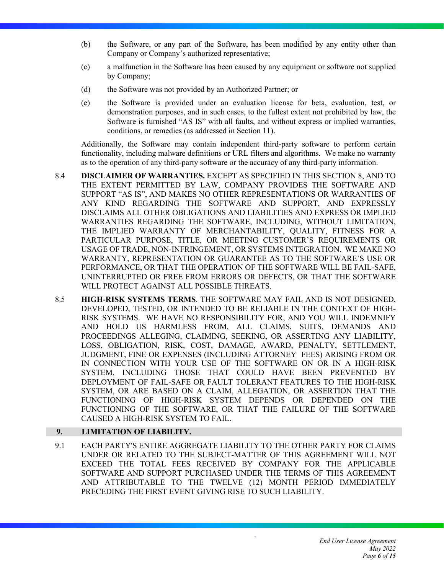- (b) the Software, or any part of the Software, has been modified by any entity other than Company or Company's authorized representative;
- (c) a malfunction in the Software has been caused by any equipment or software not supplied by Company;
- (d) the Software was not provided by an Authorized Partner; or
- (e) the Software is provided under an evaluation license for beta, evaluation, test, or demonstration purposes, and in such cases, to the fullest extent not prohibited by law, the Software is furnished "AS IS" with all faults, and without express or implied warranties, conditions, or remedies (as addressed in Section 11).

Additionally, the Software may contain independent third-party software to perform certain functionality, including malware definitions or URL filters and algorithms. We make no warranty as to the operation of any third-party software or the accuracy of any third-party information.

- 8.4 **DISCLAIMER OF WARRANTIES.** EXCEPT AS SPECIFIED IN THIS SECTION 8, AND TO THE EXTENT PERMITTED BY LAW, COMPANY PROVIDES THE SOFTWARE AND SUPPORT "AS IS", AND MAKES NO OTHER REPRESENTATIONS OR WARRANTIES OF ANY KIND REGARDING THE SOFTWARE AND SUPPORT, AND EXPRESSLY DISCLAIMS ALL OTHER OBLIGATIONS AND LIABILITIES AND EXPRESS OR IMPLIED WARRANTIES REGARDING THE SOFTWARE, INCLUDING, WITHOUT LIMITATION, THE IMPLIED WARRANTY OF MERCHANTABILITY, QUALITY, FITNESS FOR A PARTICULAR PURPOSE, TITLE, OR MEETING CUSTOMER'S REQUIREMENTS OR USAGE OF TRADE, NON-INFRINGEMENT, OR SYSTEMS INTEGRATION. WE MAKE NO WARRANTY, REPRESENTATION OR GUARANTEE AS TO THE SOFTWARE'S USE OR PERFORMANCE, OR THAT THE OPERATION OF THE SOFTWARE WILL BE FAIL-SAFE, UNINTERRUPTED OR FREE FROM ERRORS OR DEFECTS, OR THAT THE SOFTWARE WILL PROTECT AGAINST ALL POSSIBLE THREATS.
- 8.5 **HIGH-RISK SYSTEMS TERMS**. THE SOFTWARE MAY FAIL AND IS NOT DESIGNED, DEVELOPED, TESTED, OR INTENDED TO BE RELIABLE IN THE CONTEXT OF HIGH-RISK SYSTEMS. WE HAVE NO RESPONSIBILITY FOR, AND YOU WILL INDEMNIFY AND HOLD US HARMLESS FROM, ALL CLAIMS, SUITS, DEMANDS AND PROCEEDINGS ALLEGING, CLAIMING, SEEKING, OR ASSERTING ANY LIABILITY, LOSS, OBLIGATION, RISK, COST, DAMAGE, AWARD, PENALTY, SETTLEMENT, JUDGMENT, FINE OR EXPENSES (INCLUDING ATTORNEY FEES) ARISING FROM OR IN CONNECTION WITH YOUR USE OF THE SOFTWARE ON OR IN A HIGH-RISK SYSTEM, INCLUDING THOSE THAT COULD HAVE BEEN PREVENTED BY DEPLOYMENT OF FAIL-SAFE OR FAULT TOLERANT FEATURES TO THE HIGH-RISK SYSTEM, OR ARE BASED ON A CLAIM, ALLEGATION, OR ASSERTION THAT THE FUNCTIONING OF HIGH-RISK SYSTEM DEPENDS OR DEPENDED ON THE FUNCTIONING OF THE SOFTWARE, OR THAT THE FAILURE OF THE SOFTWARE CAUSED A HIGH-RISK SYSTEM TO FAIL.

## **9. LIMITATION OF LIABILITY.**

9.1 EACH PARTY'S ENTIRE AGGREGATE LIABILITY TO THE OTHER PARTY FOR CLAIMS UNDER OR RELATED TO THE SUBJECT-MATTER OF THIS AGREEMENT WILL NOT EXCEED THE TOTAL FEES RECEIVED BY COMPANY FOR THE APPLICABLE SOFTWARE AND SUPPORT PURCHASED UNDER THE TERMS OF THIS AGREEMENT AND ATTRIBUTABLE TO THE TWELVE (12) MONTH PERIOD IMMEDIATELY PRECEDING THE FIRST EVENT GIVING RISE TO SUCH LIABILITY.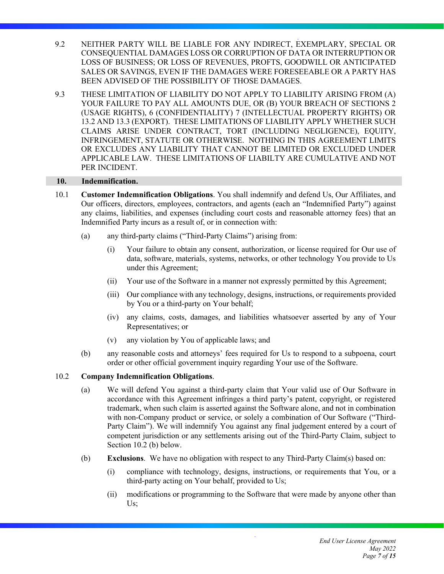- 9.2 NEITHER PARTY WILL BE LIABLE FOR ANY INDIRECT, EXEMPLARY, SPECIAL OR CONSEQUENTIAL DAMAGES LOSS OR CORRUPTION OF DATA OR INTERRUPTION OR LOSS OF BUSINESS; OR LOSS OF REVENUES, PROFTS, GOODWILL OR ANTICIPATED SALES OR SAVINGS, EVEN IF THE DAMAGES WERE FORESEEABLE OR A PARTY HAS BEEN ADVISED OF THE POSSIBILITY OF THOSE DAMAGES.
- 9.3 THESE LIMITATION OF LIABILITY DO NOT APPLY TO LIABILITY ARISING FROM (A) YOUR FAILURE TO PAY ALL AMOUNTS DUE, OR (B) YOUR BREACH OF SECTIONS 2 (USAGE RIGHTS), 6 (CONFIDENTIALITY) 7 (INTELLECTUAL PROPERTY RIGHTS) OR 13.2 AND 13.3 (EXPORT). THESE LIMITATIONS OF LIABILITY APPLY WHETHER SUCH CLAIMS ARISE UNDER CONTRACT, TORT (INCLUDING NEGLIGENCE), EQUITY, INFRINGEMENT, STATUTE OR OTHERWISE. NOTHING IN THIS AGREEMENT LIMITS OR EXCLUDES ANY LIABILITY THAT CANNOT BE LIMITED OR EXCLUDED UNDER APPLICABLE LAW. THESE LIMITATIONS OF LIABILTY ARE CUMULATIVE AND NOT PER INCIDENT.

#### **10. Indemnification.**

- 10.1 **Customer Indemnification Obligations**. You shall indemnify and defend Us, Our Affiliates, and Our officers, directors, employees, contractors, and agents (each an "Indemnified Party") against any claims, liabilities, and expenses (including court costs and reasonable attorney fees) that an Indemnified Party incurs as a result of, or in connection with:
	- (a) any third-party claims ("Third-Party Claims") arising from:
		- (i) Your failure to obtain any consent, authorization, or license required for Our use of data, software, materials, systems, networks, or other technology You provide to Us under this Agreement;
		- (ii) Your use of the Software in a manner not expressly permitted by this Agreement;
		- (iii) Our compliance with any technology, designs, instructions, or requirements provided by You or a third-party on Your behalf;
		- (iv) any claims, costs, damages, and liabilities whatsoever asserted by any of Your Representatives; or
		- (v) any violation by You of applicable laws; and
	- (b) any reasonable costs and attorneys' fees required for Us to respond to a subpoena, court order or other official government inquiry regarding Your use of the Software.

## 10.2 **Company Indemnification Obligations**.

- (a) We will defend You against a third-party claim that Your valid use of Our Software in accordance with this Agreement infringes a third party's patent, copyright, or registered trademark, when such claim is asserted against the Software alone, and not in combination with non-Company product or service, or solely a combination of Our Software ("Third-Party Claim"). We will indemnify You against any final judgement entered by a court of competent jurisdiction or any settlements arising out of the Third-Party Claim, subject to Section 10.2 (b) below.
- (b) **Exclusions**. We have no obligation with respect to any Third-Party Claim(s) based on:
	- (i) compliance with technology, designs, instructions, or requirements that You, or a third-party acting on Your behalf, provided to Us;
	- (ii) modifications or programming to the Software that were made by anyone other than Us;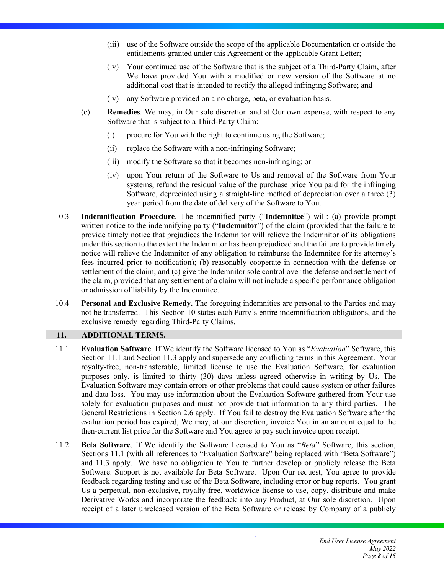- (iii) use of the Software outside the scope of the applicable Documentation or outside the entitlements granted under this Agreement or the applicable Grant Letter;
- (iv) Your continued use of the Software that is the subject of a Third-Party Claim, after We have provided You with a modified or new version of the Software at no additional cost that is intended to rectify the alleged infringing Software; and
- (iv) any Software provided on a no charge, beta, or evaluation basis.
- (c) **Remedies**. We may, in Our sole discretion and at Our own expense, with respect to any Software that is subject to a Third-Party Claim:
	- (i) procure for You with the right to continue using the Software;
	- (ii) replace the Software with a non-infringing Software;
	- (iii) modify the Software so that it becomes non-infringing; or
	- (iv) upon Your return of the Software to Us and removal of the Software from Your systems, refund the residual value of the purchase price You paid for the infringing Software, depreciated using a straight-line method of depreciation over a three (3) year period from the date of delivery of the Software to You.
- 10.3 **Indemnification Procedure**. The indemnified party ("**Indemnitee**") will: (a) provide prompt written notice to the indemnifying party ("**Indemnitor**") of the claim (provided that the failure to provide timely notice that prejudices the Indemnitor will relieve the Indemnitor of its obligations under this section to the extent the Indemnitor has been prejudiced and the failure to provide timely notice will relieve the Indemnitor of any obligation to reimburse the Indemnitee for its attorney's fees incurred prior to notification); (b) reasonably cooperate in connection with the defense or settlement of the claim; and (c) give the Indemnitor sole control over the defense and settlement of the claim, provided that any settlement of a claim will not include a specific performance obligation or admission of liability by the Indemnitee.
- 10.4 **Personal and Exclusive Remedy.** The foregoing indemnities are personal to the Parties and may not be transferred. This Section 10 states each Party's entire indemnification obligations, and the exclusive remedy regarding Third-Party Claims.

## **11. ADDITIONAL TERMS.**

- 11.1 **Evaluation Software**. If We identify the Software licensed to You as "*Evaluation*" Software, this Section 11.1 and Section 11.3 apply and supersede any conflicting terms in this Agreement. Your royalty-free, non-transferable, limited license to use the Evaluation Software, for evaluation purposes only, is limited to thirty (30) days unless agreed otherwise in writing by Us. The Evaluation Software may contain errors or other problems that could cause system or other failures and data loss. You may use information about the Evaluation Software gathered from Your use solely for evaluation purposes and must not provide that information to any third parties. The General Restrictions in Section 2.6 apply. If You fail to destroy the Evaluation Software after the evaluation period has expired, We may, at our discretion, invoice You in an amount equal to the then-current list price for the Software and You agree to pay such invoice upon receipt.
- 11.2 **Beta Software**. If We identify the Software licensed to You as "*Beta*" Software, this section, Sections 11.1 (with all references to "Evaluation Software" being replaced with "Beta Software") and 11.3 apply. We have no obligation to You to further develop or publicly release the Beta Software. Support is not available for Beta Software. Upon Our request, You agree to provide feedback regarding testing and use of the Beta Software, including error or bug reports. You grant Us a perpetual, non-exclusive, royalty-free, worldwide license to use, copy, distribute and make Derivative Works and incorporate the feedback into any Product, at Our sole discretion. Upon receipt of a later unreleased version of the Beta Software or release by Company of a publicly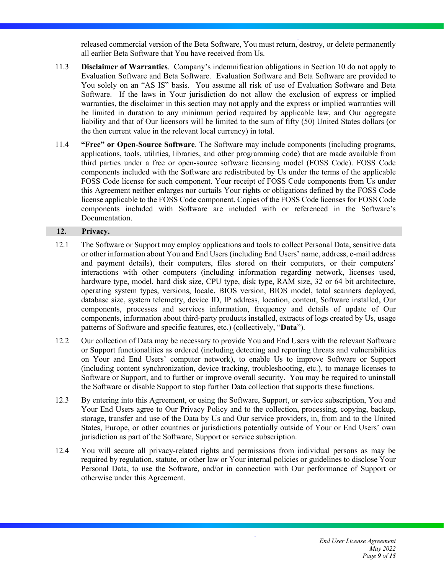released commercial version of the Beta Software, You must return, destroy, or delete permanently all earlier Beta Software that You have received from Us.

- 11.3 **Disclaimer of Warranties**. Company's indemnification obligations in Section 10 do not apply to Evaluation Software and Beta Software. Evaluation Software and Beta Software are provided to You solely on an "AS IS" basis. You assume all risk of use of Evaluation Software and Beta Software. If the laws in Your jurisdiction do not allow the exclusion of express or implied warranties, the disclaimer in this section may not apply and the express or implied warranties will be limited in duration to any minimum period required by applicable law, and Our aggregate liability and that of Our licensors will be limited to the sum of fifty (50) United States dollars (or the then current value in the relevant local currency) in total.
- 11.4 **"Free" or Open-Source Software**. The Software may include components (including programs, applications, tools, utilities, libraries, and other programming code) that are made available from third parties under a free or open-source software licensing model (FOSS Code). FOSS Code components included with the Software are redistributed by Us under the terms of the applicable FOSS Code license for such component. Your receipt of FOSS Code components from Us under this Agreement neither enlarges nor curtails Your rights or obligations defined by the FOSS Code license applicable to the FOSS Code component. Copies of the FOSS Code licenses for FOSS Code components included with Software are included with or referenced in the Software's Documentation.

## **12. Privacy.**

- 12.1 The Software or Support may employ applications and tools to collect Personal Data, sensitive data or other information about You and End Users (including End Users' name, address, e-mail address and payment details), their computers, files stored on their computers, or their computers' interactions with other computers (including information regarding network, licenses used, hardware type, model, hard disk size, CPU type, disk type, RAM size, 32 or 64 bit architecture, operating system types, versions, locale, BIOS version, BIOS model, total scanners deployed, database size, system telemetry, device ID, IP address, location, content, Software installed, Our components, processes and services information, frequency and details of update of Our components, information about third-party products installed, extracts of logs created by Us, usage patterns of Software and specific features, etc.) (collectively, "**Data**").
- 12.2 Our collection of Data may be necessary to provide You and End Users with the relevant Software or Support functionalities as ordered (including detecting and reporting threats and vulnerabilities on Your and End Users' computer network), to enable Us to improve Software or Support (including content synchronization, device tracking, troubleshooting, etc.), to manage licenses to Software or Support, and to further or improve overall security. You may be required to uninstall the Software or disable Support to stop further Data collection that supports these functions.
- 12.3 By entering into this Agreement, or using the Software, Support, or service subscription, You and Your End Users agree to Our Privacy Policy and to the collection, processing, copying, backup, storage, transfer and use of the Data by Us and Our service providers, in, from and to the United States, Europe, or other countries or jurisdictions potentially outside of Your or End Users' own jurisdiction as part of the Software, Support or service subscription.
- 12.4 You will secure all privacy-related rights and permissions from individual persons as may be required by regulation, statute, or other law or Your internal policies or guidelines to disclose Your Personal Data, to use the Software, and/or in connection with Our performance of Support or otherwise under this Agreement.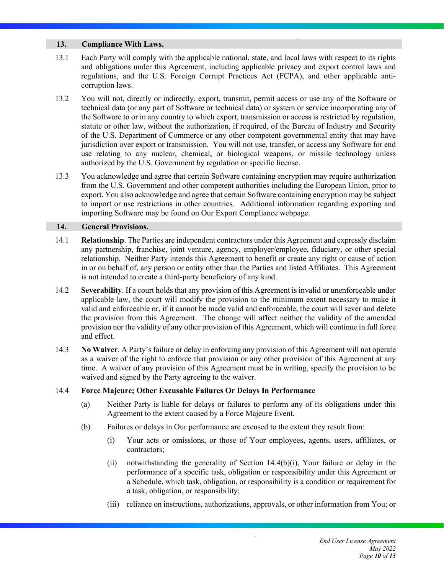## **13. Compliance With Laws.**

- 13.1 Each Party will comply with the applicable national, state, and local laws with respect to its rights and obligations under this Agreement, including applicable privacy and export control laws and regulations, and the U.S. Foreign Corrupt Practices Act (FCPA), and other applicable anticorruption laws.
- 13.2 You will not, directly or indirectly, export, transmit, permit access or use any of the Software or technical data (or any part of Software or technical data) or system or service incorporating any of the Software to or in any country to which export, transmission or access is restricted by regulation, statute or other law, without the authorization, if required, of the Bureau of Industry and Security of the U.S. Department of Commerce or any other competent governmental entity that may have jurisdiction over export or transmission. You will not use, transfer, or access any Software for end use relating to any nuclear, chemical, or biological weapons, or missile technology unless authorized by the U.S. Government by regulation or specific license.
- 13.3 You acknowledge and agree that certain Software containing encryption may require authorization from the U.S. Government and other competent authorities including the European Union, prior to export. You also acknowledge and agree that certain Software containing encryption may be subject to import or use restrictions in other countries. Additional information regarding exporting and importing Software may be found on Our Export Compliance webpage.

## **14. General Provisions.**

- 14.1 **Relationship**. The Parties are independent contractors under this Agreement and expressly disclaim any partnership, franchise, joint venture, agency, employer/employee, fiduciary, or other special relationship. Neither Party intends this Agreement to benefit or create any right or cause of action in or on behalf of, any person or entity other than the Parties and listed Affiliates. This Agreement is not intended to create a third-party beneficiary of any kind.
- 14.2 **Severability**. If a court holds that any provision of this Agreement is invalid or unenforceable under applicable law, the court will modify the provision to the minimum extent necessary to make it valid and enforceable or, if it cannot be made valid and enforceable, the court will sever and delete the provision from this Agreement. The change will affect neither the validity of the amended provision nor the validity of any other provision of this Agreement, which will continue in full force and effect.
- 14.3 **No Waiver**. A Party's failure or delay in enforcing any provision of this Agreement will not operate as a waiver of the right to enforce that provision or any other provision of this Agreement at any time. A waiver of any provision of this Agreement must be in writing, specify the provision to be waived and signed by the Party agreeing to the waiver.

## 14.4 **Force Majeure; Other Excusable Failures Or Delays In Performance**

- (a) Neither Party is liable for delays or failures to perform any of its obligations under this Agreement to the extent caused by a Force Majeure Event.
- (b) Failures or delays in Our performance are excused to the extent they result from:
	- (i) Your acts or omissions, or those of Your employees, agents, users, affiliates, or contractors;
	- (ii) notwithstanding the generality of Section 14.4(b)(i), Your failure or delay in the performance of a specific task, obligation or responsibility under this Agreement or a Schedule, which task, obligation, or responsibility is a condition or requirement for a task, obligation, or responsibility;
	- (iii) reliance on instructions, authorizations, approvals, or other information from You; or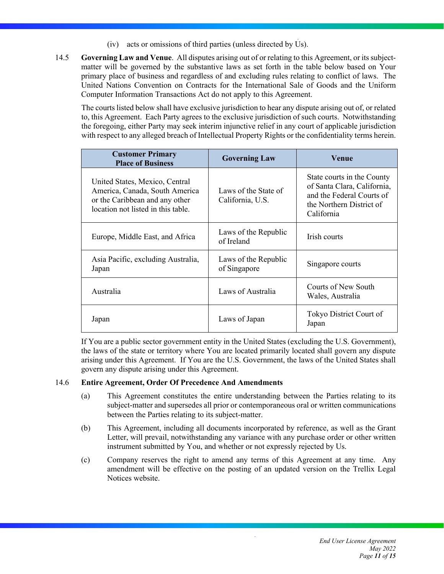- (iv) acts or omissions of third parties (unless directed by Us).
- 14.5 **Governing Law and Venue**. All disputes arising out of or relating to this Agreement, or its subjectmatter will be governed by the substantive laws as set forth in the table below based on Your primary place of business and regardless of and excluding rules relating to conflict of laws. The United Nations Convention on Contracts for the International Sale of Goods and the Uniform Computer Information Transactions Act do not apply to this Agreement.

The courts listed below shall have exclusive jurisdiction to hear any dispute arising out of, or related to, this Agreement. Each Party agrees to the exclusive jurisdiction of such courts. Notwithstanding the foregoing, either Party may seek interim injunctive relief in any court of applicable jurisdiction with respect to any alleged breach of Intellectual Property Rights or the confidentiality terms herein.

| <b>Customer Primary</b><br><b>Place of Business</b>                                                                                      | <b>Governing Law</b>                     | <b>Venue</b>                                                                                                                     |
|------------------------------------------------------------------------------------------------------------------------------------------|------------------------------------------|----------------------------------------------------------------------------------------------------------------------------------|
| United States, Mexico, Central<br>America, Canada, South America<br>or the Caribbean and any other<br>location not listed in this table. | Laws of the State of<br>California, U.S. | State courts in the County<br>of Santa Clara, California,<br>and the Federal Courts of<br>the Northern District of<br>California |
| Europe, Middle East, and Africa                                                                                                          | Laws of the Republic<br>of Ireland       | Irish courts                                                                                                                     |
| Asia Pacific, excluding Australia,<br>Japan                                                                                              | Laws of the Republic<br>of Singapore     | Singapore courts                                                                                                                 |
| Australia                                                                                                                                | Laws of Australia                        | Courts of New South<br>Wales, Australia                                                                                          |
| Japan                                                                                                                                    | Laws of Japan                            | Tokyo District Court of<br>Japan                                                                                                 |

If You are a public sector government entity in the United States (excluding the U.S. Government), the laws of the state or territory where You are located primarily located shall govern any dispute arising under this Agreement. If You are the U.S. Government, the laws of the United States shall govern any dispute arising under this Agreement.

## 14.6 **Entire Agreement, Order Of Precedence And Amendments**

- (a) This Agreement constitutes the entire understanding between the Parties relating to its subject-matter and supersedes all prior or contemporaneous oral or written communications between the Parties relating to its subject-matter.
- (b) This Agreement, including all documents incorporated by reference, as well as the Grant Letter, will prevail, notwithstanding any variance with any purchase order or other written instrument submitted by You, and whether or not expressly rejected by Us.
- (c) Company reserves the right to amend any terms of this Agreement at any time. Any amendment will be effective on the posting of an updated version on the Trellix Legal Notices website.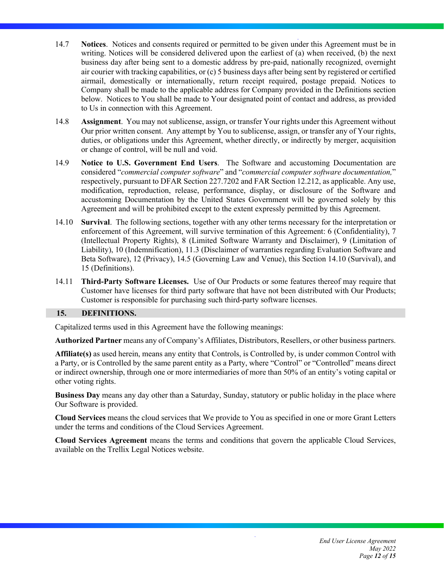- 14.7 **Notices**. Notices and consents required or permitted to be given under this Agreement must be in writing. Notices will be considered delivered upon the earliest of (a) when received, (b) the next business day after being sent to a domestic address by pre-paid, nationally recognized, overnight air courier with tracking capabilities, or (c) 5 business days after being sent by registered or certified airmail, domestically or internationally, return receipt required, postage prepaid. Notices to Company shall be made to the applicable address for Company provided in the Definitions section below. Notices to You shall be made to Your designated point of contact and address, as provided to Us in connection with this Agreement.
- 14.8 **Assignment**. You may not sublicense, assign, or transfer Your rights under this Agreement without Our prior written consent. Any attempt by You to sublicense, assign, or transfer any of Your rights, duties, or obligations under this Agreement, whether directly, or indirectly by merger, acquisition or change of control, will be null and void.
- 14.9 **Notice to U.S. Government End Users**. The Software and accustoming Documentation are considered "*commercial computer software*" and "*commercial computer software documentation,*" respectively, pursuant to DFAR Section 227.7202 and FAR Section 12.212, as applicable. Any use, modification, reproduction, release, performance, display, or disclosure of the Software and accustoming Documentation by the United States Government will be governed solely by this Agreement and will be prohibited except to the extent expressly permitted by this Agreement.
- 14.10 **Survival**. The following sections, together with any other terms necessary for the interpretation or enforcement of this Agreement, will survive termination of this Agreement: 6 (Confidentiality), 7 (Intellectual Property Rights), 8 (Limited Software Warranty and Disclaimer), 9 (Limitation of Liability), 10 (Indemnification), 11.3 (Disclaimer of warranties regarding Evaluation Software and Beta Software), 12 (Privacy), 14.5 (Governing Law and Venue), this Section 14.10 (Survival), and 15 (Definitions).
- 14.11 **Third-Party Software Licenses.** Use of Our Products or some features thereof may require that Customer have licenses for third party software that have not been distributed with Our Products; Customer is responsible for purchasing such third-party software licenses.

## **15. DEFINITIONS.**

Capitalized terms used in this Agreement have the following meanings:

**Authorized Partner** means any of Company's Affiliates, Distributors, Resellers, or other business partners.

**Affiliate(s)** as used herein, means any entity that Controls, is Controlled by, is under common Control with a Party, or is Controlled by the same parent entity as a Party, where "Control" or "Controlled" means direct or indirect ownership, through one or more intermediaries of more than 50% of an entity's voting capital or other voting rights.

**Business Day** means any day other than a Saturday, Sunday, statutory or public holiday in the place where Our Software is provided.

**Cloud Services** means the cloud services that We provide to You as specified in one or more Grant Letters under the terms and conditions of the Cloud Services Agreement.

**Cloud Services Agreement** means the terms and conditions that govern the applicable Cloud Services, available on the Trellix Legal Notices website.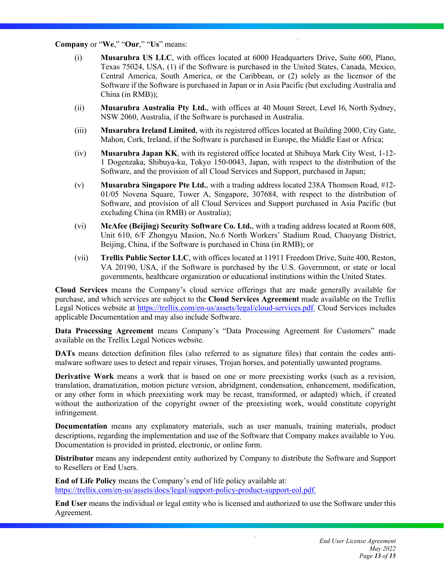#### **Company** or "**We**," "**Our**," "**Us**" means:

- (i) **Musarubra US LLC**, with offices located at 6000 Headquarters Drive, Suite 600, Plano, Texas 75024, USA, (1) if the Software is purchased in the United States, Canada, Mexico, Central America, South America, or the Caribbean, or (2) solely as the licensor of the Software if the Software is purchased in Japan or in Asia Pacific (but excluding Australia and China (in RMB));
- (ii) **Musarubra Australia Pty Ltd.**, with offices at 40 Mount Street, Level 16, North Sydney, NSW 2060, Australia, if the Software is purchased in Australia.
- (iii) **Musarubra Ireland Limited**, with its registered offices located at Building 2000, City Gate, Mahon, Cork, Ireland, if the Software is purchased in Europe, the Middle East or Africa;
- (iv) **Musarubra Japan KK**, with its registered office located at Shibuya Mark City West, 1-12- 1 Dogenzaka, Shibuya-ku, Tokyo 150-0043, Japan, with respect to the distribution of the Software, and the provision of all Cloud Services and Support, purchased in Japan;
- (v) **Musarubra Singapore Pte Ltd.**, with a trading address located 238A Thomson Road, #12- 01/05 Novena Square, Tower A, Singapore, 307684, with respect to the distribution of Software, and provision of all Cloud Services and Support purchased in Asia Pacific (but excluding China (in RMB) or Australia);
- (vi) **McAfee (Beijing) Security Software Co. Ltd.**, with a trading address located at Room 608, Unit 610, 6/F Zhongyu Masion, No.6 North Workers' Stadium Road, Chaoyang District, Beijing, China, if the Software is purchased in China (in RMB); or
- (vii) **Trellix Public Sector LLC**, with offices located at 11911 Freedom Drive, Suite 400, Reston, VA 20190, USA, if the Software is purchased by the U.S. Government, or state or local governments, healthcare organization or educational institutions within the United States.

**Cloud Services** means the Company's cloud service offerings that are made generally available for purchase, and which services are subject to the **Cloud Services Agreement** made available on the Trellix Legal Notices website at https://trellix.com/en-us/assets/legal/cloud-services.pdf. Cloud Services includes applicable Documentation and may also include Software.

**Data Processing Agreement** means Company's "Data Processing Agreement for Customers" made available on the Trellix Legal Notices website.

**DATs** means detection definition files (also referred to as signature files) that contain the codes antimalware software uses to detect and repair viruses, Trojan horses, and potentially unwanted programs.

**Derivative Work** means a work that is based on one or more preexisting works (such as a revision, translation, dramatization, motion picture version, abridgment, condensation, enhancement, modification, or any other form in which preexisting work may be recast, transformed, or adapted) which, if created without the authorization of the copyright owner of the preexisting work, would constitute copyright infringement.

**Documentation** means any explanatory materials, such as user manuals, training materials, product descriptions, regarding the implementation and use of the Software that Company makes available to You. Documentation is provided in printed, electronic, or online form.

**Distributor** means any independent entity authorized by Company to distribute the Software and Support to Resellers or End Users.

**End of Life Policy** means the Company's end of life policy available at: https://trellix.com/en-us/assets/docs/legal/support-policy-product-support-eol.pdf.

**End User** means the individual or legal entity who is licensed and authorized to use the Software under this Agreement.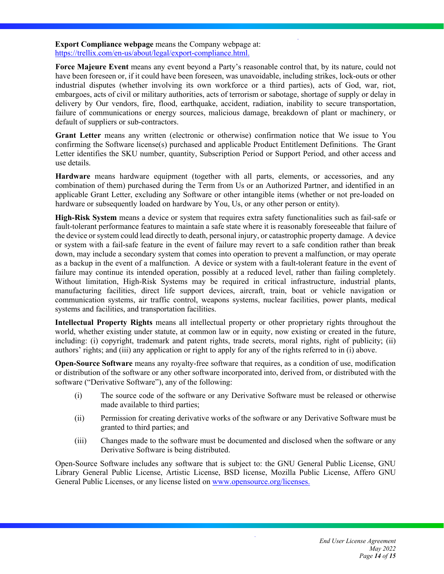**Export Compliance webpage** means the Company webpage at: https://trellix.com/en-us/about/legal/export-compliance.html.

**Force Majeure Event** means any event beyond a Party's reasonable control that, by its nature, could not have been foreseen or, if it could have been foreseen, was unavoidable, including strikes, lock-outs or other industrial disputes (whether involving its own workforce or a third parties), acts of God, war, riot, embargoes, acts of civil or military authorities, acts of terrorism or sabotage, shortage of supply or delay in delivery by Our vendors, fire, flood, earthquake, accident, radiation, inability to secure transportation, failure of communications or energy sources, malicious damage, breakdown of plant or machinery, or default of suppliers or sub-contractors.

**Grant Letter** means any written (electronic or otherwise) confirmation notice that We issue to You confirming the Software license(s) purchased and applicable Product Entitlement Definitions. The Grant Letter identifies the SKU number, quantity, Subscription Period or Support Period, and other access and use details.

**Hardware** means hardware equipment (together with all parts, elements, or accessories, and any combination of them) purchased during the Term from Us or an Authorized Partner, and identified in an applicable Grant Letter, excluding any Software or other intangible items (whether or not pre-loaded on hardware or subsequently loaded on hardware by You, Us, or any other person or entity).

**High-Risk System** means a device or system that requires extra safety functionalities such as fail-safe or fault-tolerant performance features to maintain a safe state where it is reasonably foreseeable that failure of the device or system could lead directly to death, personal injury, or catastrophic property damage. A device or system with a fail-safe feature in the event of failure may revert to a safe condition rather than break down, may include a secondary system that comes into operation to prevent a malfunction, or may operate as a backup in the event of a malfunction. A device or system with a fault-tolerant feature in the event of failure may continue its intended operation, possibly at a reduced level, rather than failing completely. Without limitation, High-Risk Systems may be required in critical infrastructure, industrial plants, manufacturing facilities, direct life support devices, aircraft, train, boat or vehicle navigation or communication systems, air traffic control, weapons systems, nuclear facilities, power plants, medical systems and facilities, and transportation facilities.

**Intellectual Property Rights** means all intellectual property or other proprietary rights throughout the world, whether existing under statute, at common law or in equity, now existing or created in the future, including: (i) copyright, trademark and patent rights, trade secrets, moral rights, right of publicity; (ii) authors' rights; and (iii) any application or right to apply for any of the rights referred to in (i) above.

**Open-Source Software** means any royalty-free software that requires, as a condition of use, modification or distribution of the software or any other software incorporated into, derived from, or distributed with the software ("Derivative Software"), any of the following:

- (i) The source code of the software or any Derivative Software must be released or otherwise made available to third parties;
- (ii) Permission for creating derivative works of the software or any Derivative Software must be granted to third parties; and
- (iii) Changes made to the software must be documented and disclosed when the software or any Derivative Software is being distributed.

Open-Source Software includes any software that is subject to: the GNU General Public License, GNU Library General Public License, Artistic License, BSD license, Mozilla Public License, Affero GNU General Public Licenses, or any license listed on www.opensource.org/licenses.